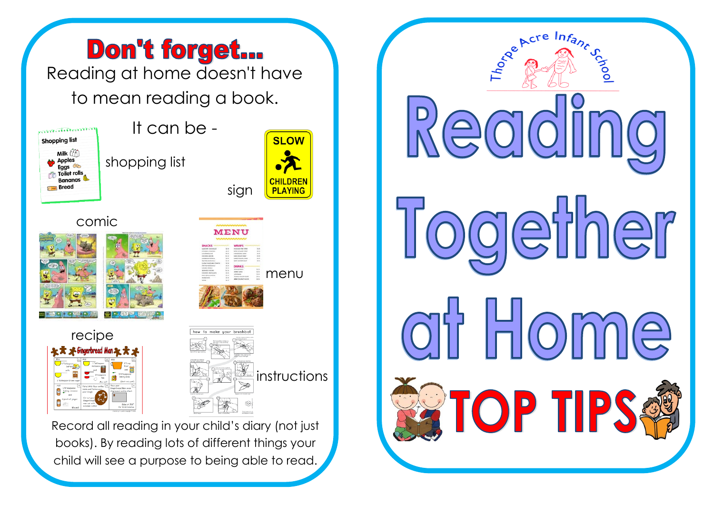